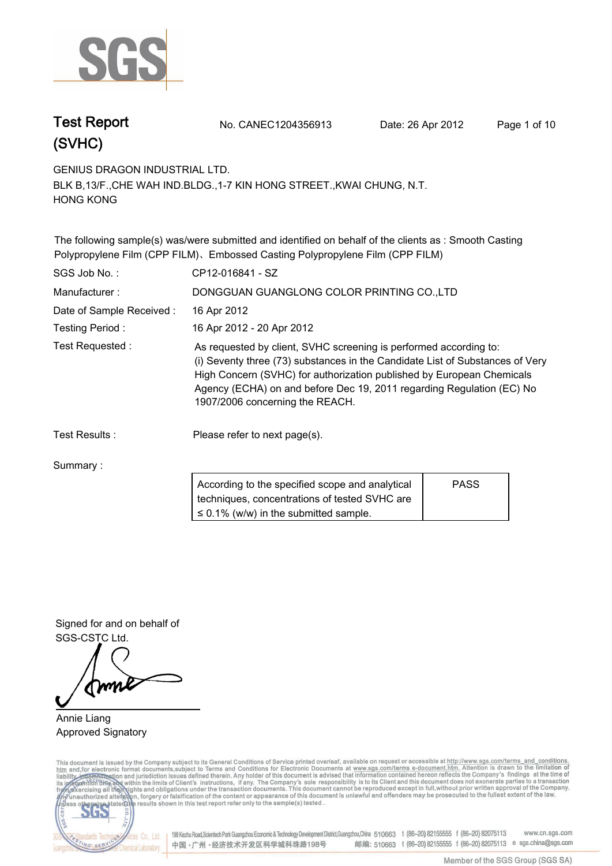

**Test Report. No. CANEC1204356913 Date: 26 Apr 2012. Page 1 of 10.**

**GENIUS DRAGON INDUSTRIAL LTD..**

**BLK B,13/F.,CHE WAH IND.BLDG.,1-7 KIN HONG STREET.,KWAI CHUNG, N.T. HONG KONG.**

**The following sample(s) was/were submitted and identified on behalf of the clients as : Smooth Casting Polypropylene Film (CPP FILM)**、**Embossed Casting Polypropylene Film (CPP FILM).**

| SGS Job No.:             | CP12-016841 - SZ                                                                                                                                                                                                                                                                                                                        |             |  |
|--------------------------|-----------------------------------------------------------------------------------------------------------------------------------------------------------------------------------------------------------------------------------------------------------------------------------------------------------------------------------------|-------------|--|
| Manufacturer:            | DONGGUAN GUANGLONG COLOR PRINTING CO., LTD                                                                                                                                                                                                                                                                                              |             |  |
| Date of Sample Received: | 16 Apr 2012                                                                                                                                                                                                                                                                                                                             |             |  |
| Testing Period:          | 16 Apr 2012 - 20 Apr 2012                                                                                                                                                                                                                                                                                                               |             |  |
| Test Requested:          | As requested by client, SVHC screening is performed according to:<br>(i) Seventy three (73) substances in the Candidate List of Substances of Very<br>High Concern (SVHC) for authorization published by European Chemicals<br>Agency (ECHA) on and before Dec 19, 2011 regarding Regulation (EC) No<br>1907/2006 concerning the REACH. |             |  |
| Test Results:            | Please refer to next page(s).                                                                                                                                                                                                                                                                                                           |             |  |
| Summary:                 |                                                                                                                                                                                                                                                                                                                                         |             |  |
|                          | According to the specified scope and analytical<br>techniques, concentrations of tested SVHC are                                                                                                                                                                                                                                        | <b>PASS</b> |  |

**≤ 0.1% (w/w) in the submitted sample.**

**Signed for and on behalf of SGS-CSTC Ltd..**

**Annie Liang. Approved Signatory.**

This document is issued by the Company subject to its General Conditions of Service printed overleaf, available on request or accessible at http://www.sgs.com/terms\_and\_conditions.<br>htm\_and,for electronic format documents,s



198 Kezhu Road,Scientech Park Guangzhou Economic & Technology Development District,Guangzhou,China 510663 t (86-20) 82155555 f (86-20) 82075113 www.cn.sgs.com 邮编: 510663 t (86-20) 82155555 f (86-20) 82075113 e sgs.china@sgs.com 中国·广州·经济技术开发区科学城科珠路198号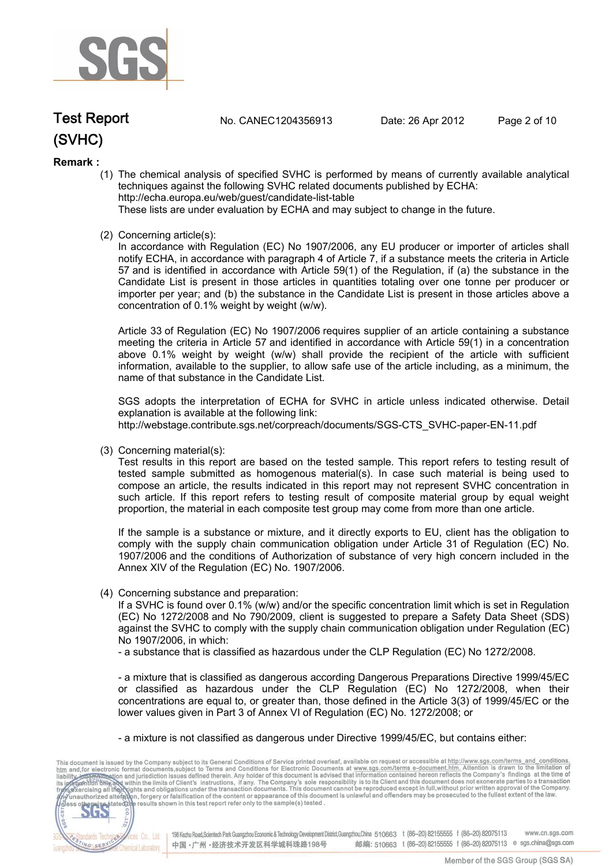

**Test Report. No. CANEC1204356913 Date: 26 Apr 2012. Page 2 of 10.**

### **Remark :**

(1) The chemical analysis of specified SVHC is performed by means of currently available analytical techniques against the following SVHC related documents published by ECHA: http://echa.europa.eu/web/guest/candidate-list-table

These lists are under evaluation by ECHA and may subject to change in the future.

(2) Concerning article(s):

In accordance with Regulation (EC) No 1907/2006, any EU producer or importer of articles shall notify ECHA, in accordance with paragraph 4 of Article 7, if a substance meets the criteria in Article 57 and is identified in accordance with Article 59(1) of the Regulation, if (a) the substance in the Candidate List is present in those articles in quantities totaling over one tonne per producer or importer per year; and (b) the substance in the Candidate List is present in those articles above a concentration of 0.1% weight by weight (w/w).

Article 33 of Regulation (EC) No 1907/2006 requires supplier of an article containing a substance meeting the criteria in Article 57 and identified in accordance with Article 59(1) in a concentration above 0.1% weight by weight (w/w) shall provide the recipient of the article with sufficient information, available to the supplier, to allow safe use of the article including, as a minimum, the name of that substance in the Candidate List.

SGS adopts the interpretation of ECHA for SVHC in article unless indicated otherwise. Detail explanation is available at the following link: http://webstage.contribute.sgs.net/corpreach/documents/SGS-CTS\_SVHC-paper-EN-11.pdf

(3) Concerning material(s):

Test results in this report are based on the tested sample. This report refers to testing result of tested sample submitted as homogenous material(s). In case such material is being used to compose an article, the results indicated in this report may not represent SVHC concentration in such article. If this report refers to testing result of composite material group by equal weight proportion, the material in each composite test group may come from more than one article.

If the sample is a substance or mixture, and it directly exports to EU, client has the obligation to comply with the supply chain communication obligation under Article 31 of Regulation (EC) No. 1907/2006 and the conditions of Authorization of substance of very high concern included in the Annex XIV of the Regulation (EC) No. 1907/2006.

(4) Concerning substance and preparation:

If a SVHC is found over 0.1% (w/w) and/or the specific concentration limit which is set in Regulation (EC) No 1272/2008 and No 790/2009, client is suggested to prepare a Safety Data Sheet (SDS) against the SVHC to comply with the supply chain communication obligation under Regulation (EC) No 1907/2006, in which:

- a substance that is classified as hazardous under the CLP Regulation (EC) No 1272/2008.

- a mixture that is classified as dangerous according Dangerous Preparations Directive 1999/45/EC or classified as hazardous under the CLP Regulation (EC) No 1272/2008, when their concentrations are equal to, or greater than, those defined in the Article 3(3) of 1999/45/EC or the lower values given in Part 3 of Annex VI of Regulation (EC) No. 1272/2008; or

- a mixture is not classified as dangerous under Directive 1999/45/EC, but contains either:

This document is issued by the Company subject to its General Conditions of Service printed overleaf, available on request or accessible at http://www.sgs.com/terms\_and\_conditions.<br>
htm and for electronic format documents, CO.LTD. 565 198 Kezhu Road, Scientech Park Guangzhou Economic & Technology Development District, Guangzhou, China 510663 t (86-20) 82155555 f (86-20) 82075113 **Co., Ltd.** www.cn.sas.com dards Tech 邮编: 510663 t (86-20) 82155555 f (86-20) 82075113 e sgs.china@sgs.com 中国·广州·经济技术开发区科学城科珠路198号 NG SERY Chemical Laboratory.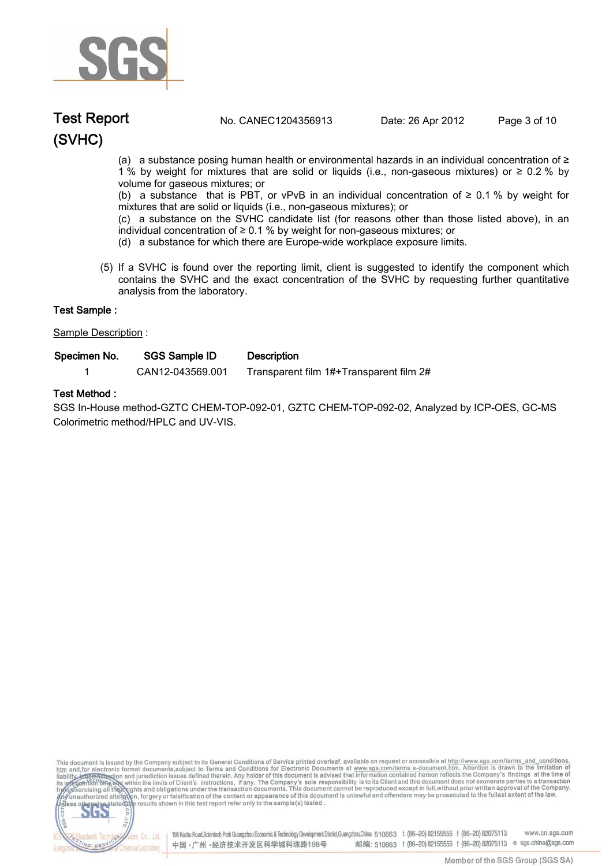

## **(SVHC) Test Report. No. CANEC1204356913 Date: 26 Apr 2012. Page 3 of 10.**

(a) a substance posing human health or environmental hazards in an individual concentration of ≥ 1 % by weight for mixtures that are solid or liquids (i.e., non-gaseous mixtures) or ≥ 0.2 % by volume for gaseous mixtures; or

(b) a substance that is PBT, or vPvB in an individual concentration of  $\geq 0.1$  % by weight for mixtures that are solid or liquids (i.e., non-gaseous mixtures); or

(c) a substance on the SVHC candidate list (for reasons other than those listed above), in an individual concentration of ≥ 0.1 % by weight for non-gaseous mixtures; or

- (d) a substance for which there are Europe-wide workplace exposure limits.
- (5) If a SVHC is found over the reporting limit, client is suggested to identify the component which contains the SVHC and the exact concentration of the SVHC by requesting further quantitative analysis from the laboratory.

| Test Sample :        |                      |                                         |  |
|----------------------|----------------------|-----------------------------------------|--|
| Sample Description : |                      |                                         |  |
| Specimen No.         | <b>SGS Sample ID</b> | <b>Description</b>                      |  |
|                      | CAN12-043569.001     | Transparent film 1#+Transparent film 2# |  |

### **Test Method :.**

**SGS In-House method-GZTC CHEM-TOP-092-01, GZTC CHEM-TOP-092-02, Analyzed by ICP-OES, GC-MS Colorimetric method/HPLC and UV-VIS..**

This document is issued by the Company subject to its General Conditions of Service printed overleaf, available on request or accessible at http://www.sgs.com/terms\_and\_conditions.<br>htm\_and, for electronic format documents,



198 Kezhu Road,Scientech Park Guangzhou Economic & Technology Development District,Guangzhou,China 510663 t (86-20) 82155555 f (86-20) 82075113 www.cn.sgs.com 邮编: 510663 t (86-20) 82155555 f (86-20) 82075113 e sgs.china@sgs.com 中国·广州·经济技术开发区科学城科珠路198号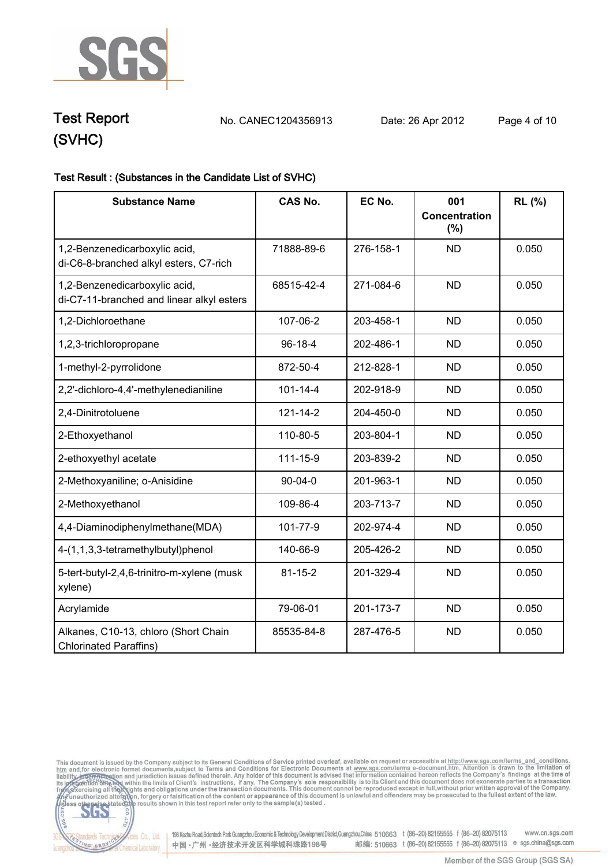

**Test Report. No. CANEC1204356913 Date: 26 Apr 2012. Page 4 of 10.**

## **Test Result : (Substances in the Candidate List of SVHC).**

| <b>Substance Name</b>                                                      | <b>CAS No.</b> | EC No.    | 001<br><b>Concentration</b><br>$(\%)$ | RL (%) |
|----------------------------------------------------------------------------|----------------|-----------|---------------------------------------|--------|
| 1,2-Benzenedicarboxylic acid,<br>di-C6-8-branched alkyl esters, C7-rich    | 71888-89-6     | 276-158-1 | <b>ND</b>                             | 0.050  |
| 1,2-Benzenedicarboxylic acid,<br>di-C7-11-branched and linear alkyl esters | 68515-42-4     | 271-084-6 | <b>ND</b>                             | 0.050  |
| 1,2-Dichloroethane                                                         | 107-06-2       | 203-458-1 | <b>ND</b>                             | 0.050  |
| 1,2,3-trichloropropane                                                     | $96 - 18 - 4$  | 202-486-1 | <b>ND</b>                             | 0.050  |
| 1-methyl-2-pyrrolidone                                                     | 872-50-4       | 212-828-1 | <b>ND</b>                             | 0.050  |
| 2,2'-dichloro-4,4'-methylenedianiline                                      | $101 - 14 - 4$ | 202-918-9 | <b>ND</b>                             | 0.050  |
| 2,4-Dinitrotoluene                                                         | $121 - 14 - 2$ | 204-450-0 | <b>ND</b>                             | 0.050  |
| 2-Ethoxyethanol                                                            | 110-80-5       | 203-804-1 | <b>ND</b>                             | 0.050  |
| 2-ethoxyethyl acetate                                                      | 111-15-9       | 203-839-2 | <b>ND</b>                             | 0.050  |
| 2-Methoxyaniline; o-Anisidine                                              | $90 - 04 - 0$  | 201-963-1 | <b>ND</b>                             | 0.050  |
| 2-Methoxyethanol                                                           | 109-86-4       | 203-713-7 | <b>ND</b>                             | 0.050  |
| 4,4-Diaminodiphenylmethane(MDA)                                            | 101-77-9       | 202-974-4 | <b>ND</b>                             | 0.050  |
| 4-(1,1,3,3-tetramethylbutyl)phenol                                         | 140-66-9       | 205-426-2 | <b>ND</b>                             | 0.050  |
| 5-tert-butyl-2,4,6-trinitro-m-xylene (musk<br>xylene)                      | $81 - 15 - 2$  | 201-329-4 | <b>ND</b>                             | 0.050  |
| Acrylamide                                                                 | 79-06-01       | 201-173-7 | <b>ND</b>                             | 0.050  |
| Alkanes, C10-13, chloro (Short Chain<br><b>Chlorinated Paraffins)</b>      | 85535-84-8     | 287-476-5 | <b>ND</b>                             | 0.050  |





Electric Co., Ltd. 198 Kezhu Road, Scientech Park Guangzhou Economic & Technology Development District, Guangzhou, China 510663 t (86-20) 82155555 f (86-20) 82075113 www.cn.sgs.com 邮编: 510663 t (86-20) 82155555 f (86-20) 82075113 e sgs.china@sgs.com 中国·广州·经济技术开发区科学城科珠路198号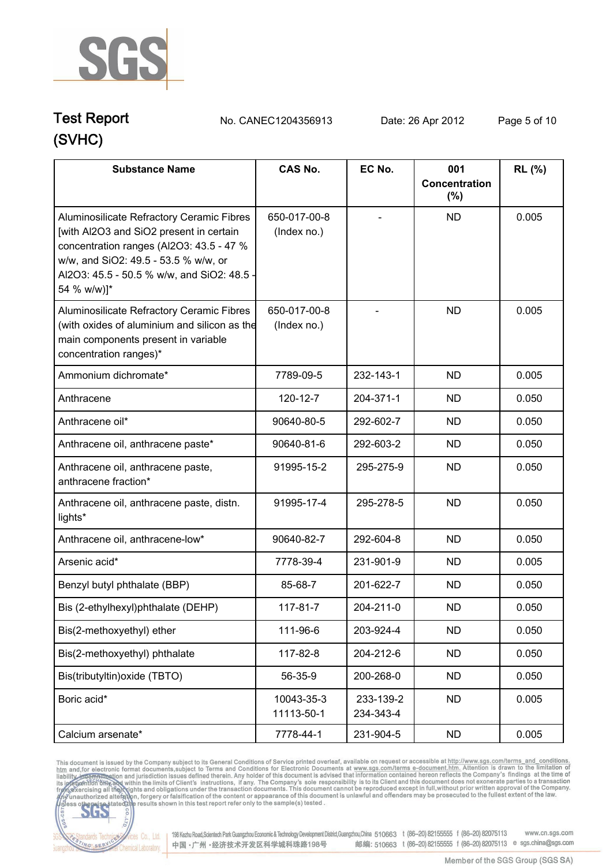

## **(SVHC) Test Report. No. CANEC1204356913 Date: 26 Apr 2012. Page 5 of 10.**

| <b>Substance Name</b>                                                                                                                                                                                                                 | <b>CAS No.</b>              | EC No.                 | 001                     | <b>RL</b> (%) |
|---------------------------------------------------------------------------------------------------------------------------------------------------------------------------------------------------------------------------------------|-----------------------------|------------------------|-------------------------|---------------|
|                                                                                                                                                                                                                                       |                             |                        | Concentration<br>$(\%)$ |               |
| Aluminosilicate Refractory Ceramic Fibres<br>[with Al2O3 and SiO2 present in certain<br>concentration ranges (Al2O3: 43.5 - 47 %<br>w/w, and SiO2: 49.5 - 53.5 % w/w, or<br>Al2O3: 45.5 - 50.5 % w/w, and SiO2: 48.5 -<br>54 % w/w)]* | 650-017-00-8<br>(Index no.) |                        | <b>ND</b>               | 0.005         |
| Aluminosilicate Refractory Ceramic Fibres<br>(with oxides of aluminium and silicon as the<br>main components present in variable<br>concentration ranges)*                                                                            | 650-017-00-8<br>(Index no.) |                        | <b>ND</b>               | 0.005         |
| Ammonium dichromate*                                                                                                                                                                                                                  | 7789-09-5                   | 232-143-1              | <b>ND</b>               | 0.005         |
| Anthracene                                                                                                                                                                                                                            | 120-12-7                    | 204-371-1              | <b>ND</b>               | 0.050         |
| Anthracene oil*                                                                                                                                                                                                                       | 90640-80-5                  | 292-602-7              | <b>ND</b>               | 0.050         |
| Anthracene oil, anthracene paste*                                                                                                                                                                                                     | 90640-81-6                  | 292-603-2              | <b>ND</b>               | 0.050         |
| Anthracene oil, anthracene paste,<br>anthracene fraction*                                                                                                                                                                             | 91995-15-2                  | 295-275-9              | <b>ND</b>               | 0.050         |
| Anthracene oil, anthracene paste, distn.<br>lights*                                                                                                                                                                                   | 91995-17-4                  | 295-278-5              | <b>ND</b>               | 0.050         |
| Anthracene oil, anthracene-low*                                                                                                                                                                                                       | 90640-82-7                  | 292-604-8              | <b>ND</b>               | 0.050         |
| Arsenic acid*                                                                                                                                                                                                                         | 7778-39-4                   | 231-901-9              | <b>ND</b>               | 0.005         |
| Benzyl butyl phthalate (BBP)                                                                                                                                                                                                          | 85-68-7                     | 201-622-7              | <b>ND</b>               | 0.050         |
| Bis (2-ethylhexyl)phthalate (DEHP)                                                                                                                                                                                                    | 117-81-7                    | 204-211-0              | ND                      | 0.050         |
| Bis(2-methoxyethyl) ether                                                                                                                                                                                                             | 111-96-6                    | 203-924-4              | <b>ND</b>               | 0.050         |
| Bis(2-methoxyethyl) phthalate                                                                                                                                                                                                         | 117-82-8                    | 204-212-6              | <b>ND</b>               | 0.050         |
| Bis(tributyltin) oxide (TBTO)                                                                                                                                                                                                         | 56-35-9                     | 200-268-0              | <b>ND</b>               | 0.050         |
| Boric acid*                                                                                                                                                                                                                           | 10043-35-3<br>11113-50-1    | 233-139-2<br>234-343-4 | <b>ND</b>               | 0.005         |
| Calcium arsenate*                                                                                                                                                                                                                     | 7778-44-1                   | 231-904-5              | <b>ND</b>               | 0.005         |

This document is issued by the Company subject to its General Conditions of Service printed overleaf, available on request or accessible at http://www.sgs.com/terms. and\_conditions.<br>htm and, for electronic format document



Vices Co., Ltd. | 198 Kezhu Road,Scientech Park Guangzhou Economic & Technology Development District, Guangzhou, China 510663 t (86-20) 82155555 f (86-20) 82075113 www.cn.sgs.com 邮编: 510663 t (86-20) 82155555 f (86-20) 82075113 e sgs.china@sgs.com 中国·广州·经济技术开发区科学城科珠路198号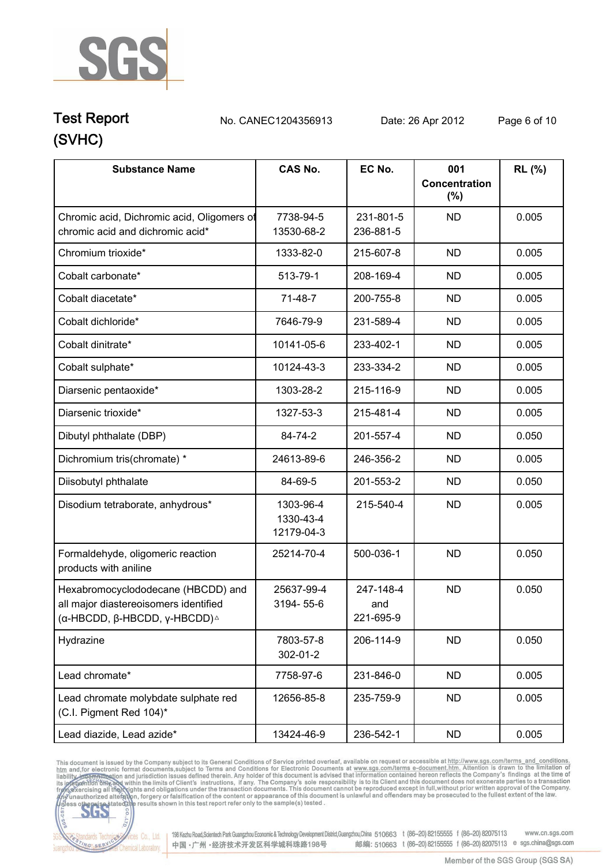

**Test Report. No. CANEC1204356913 Date: 26 Apr 2012. Page 6 of 10.**

| <b>Substance Name</b>                                                                                                        | <b>CAS No.</b>                       | EC No.                        | 001<br><b>Concentration</b><br>$(\%)$ | RL (%) |
|------------------------------------------------------------------------------------------------------------------------------|--------------------------------------|-------------------------------|---------------------------------------|--------|
| Chromic acid, Dichromic acid, Oligomers of<br>chromic acid and dichromic acid*                                               | 7738-94-5<br>13530-68-2              | 231-801-5<br>236-881-5        | <b>ND</b>                             | 0.005  |
| Chromium trioxide*                                                                                                           | 1333-82-0                            | 215-607-8                     | <b>ND</b>                             | 0.005  |
| Cobalt carbonate*                                                                                                            | 513-79-1                             | 208-169-4                     | <b>ND</b>                             | 0.005  |
| Cobalt diacetate*                                                                                                            | $71-48-7$                            | 200-755-8                     | <b>ND</b>                             | 0.005  |
| Cobalt dichloride*                                                                                                           | 7646-79-9                            | 231-589-4                     | <b>ND</b>                             | 0.005  |
| Cobalt dinitrate*                                                                                                            | 10141-05-6                           | 233-402-1                     | <b>ND</b>                             | 0.005  |
| Cobalt sulphate*                                                                                                             | 10124-43-3                           | 233-334-2                     | <b>ND</b>                             | 0.005  |
| Diarsenic pentaoxide*                                                                                                        | 1303-28-2                            | 215-116-9                     | <b>ND</b>                             | 0.005  |
| Diarsenic trioxide*                                                                                                          | 1327-53-3                            | 215-481-4                     | <b>ND</b>                             | 0.005  |
| Dibutyl phthalate (DBP)                                                                                                      | 84-74-2                              | 201-557-4                     | <b>ND</b>                             | 0.050  |
| Dichromium tris(chromate) *                                                                                                  | 24613-89-6                           | 246-356-2                     | <b>ND</b>                             | 0.005  |
| Diisobutyl phthalate                                                                                                         | 84-69-5                              | 201-553-2                     | <b>ND</b>                             | 0.050  |
| Disodium tetraborate, anhydrous*                                                                                             | 1303-96-4<br>1330-43-4<br>12179-04-3 | 215-540-4                     | <b>ND</b>                             | 0.005  |
| Formaldehyde, oligomeric reaction<br>products with aniline                                                                   | 25214-70-4                           | 500-036-1                     | <b>ND</b>                             | 0.050  |
| Hexabromocyclododecane (HBCDD) and<br>all major diastereoisomers identified<br>(α-HBCDD, β-HBCDD, γ-HBCDD) $^{\vartriangle}$ | 25637-99-4<br>3194-55-6              | 247-148-4<br>and<br>221-695-9 | <b>ND</b>                             | 0.050  |
| Hydrazine                                                                                                                    | 7803-57-8<br>302-01-2                | 206-114-9                     | <b>ND</b>                             | 0.050  |
| Lead chromate*                                                                                                               | 7758-97-6                            | 231-846-0                     | <b>ND</b>                             | 0.005  |
| Lead chromate molybdate sulphate red<br>(C.I. Pigment Red 104)*                                                              | 12656-85-8                           | 235-759-9                     | <b>ND</b>                             | 0.005  |
| Lead diazide, Lead azide*                                                                                                    | 13424-46-9                           | 236-542-1                     | <b>ND</b>                             | 0.005  |

This document is issued by the Company subject to its General Conditions of Service printed overleaf, available on request or accessible at http://www.sgs.com/terms. and\_conditions.<br>htm and, for electronic format document



198 Kezhu Road, Scientech Park Guangzhou Economic & Technology Development District, Guangzhou, China 510663 t (86-20) 82155555 f (86-20) 82075113 www.cn.sgs.com 邮编: 510663 t (86-20) 82155555 f (86-20) 82075113 e sgs.china@sgs.com 中国·广州·经济技术开发区科学城科珠路198号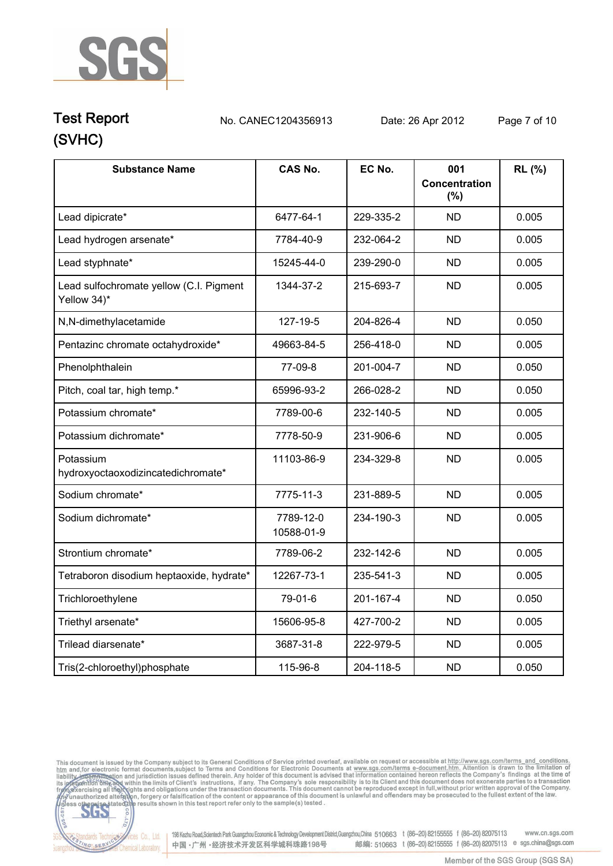

## **(SVHC) Test Report. No. CANEC1204356913 Date: 26 Apr 2012. Page 7 of 10.**

| <b>Substance Name</b>                                  | <b>CAS No.</b>          | EC No.    | 001<br>Concentration<br>(%) | RL (%) |
|--------------------------------------------------------|-------------------------|-----------|-----------------------------|--------|
| Lead dipicrate*                                        | 6477-64-1               | 229-335-2 | <b>ND</b>                   | 0.005  |
| Lead hydrogen arsenate*                                | 7784-40-9               | 232-064-2 | <b>ND</b>                   | 0.005  |
| Lead styphnate*                                        | 15245-44-0              | 239-290-0 | <b>ND</b>                   | 0.005  |
| Lead sulfochromate yellow (C.I. Pigment<br>Yellow 34)* | 1344-37-2               | 215-693-7 | <b>ND</b>                   | 0.005  |
| N,N-dimethylacetamide                                  | 127-19-5                | 204-826-4 | <b>ND</b>                   | 0.050  |
| Pentazinc chromate octahydroxide*                      | 49663-84-5              | 256-418-0 | <b>ND</b>                   | 0.005  |
| Phenolphthalein                                        | 77-09-8                 | 201-004-7 | <b>ND</b>                   | 0.050  |
| Pitch, coal tar, high temp.*                           | 65996-93-2              | 266-028-2 | <b>ND</b>                   | 0.050  |
| Potassium chromate*                                    | 7789-00-6               | 232-140-5 | <b>ND</b>                   | 0.005  |
| Potassium dichromate*                                  | 7778-50-9               | 231-906-6 | <b>ND</b>                   | 0.005  |
| Potassium<br>hydroxyoctaoxodizincatedichromate*        | 11103-86-9              | 234-329-8 | <b>ND</b>                   | 0.005  |
| Sodium chromate*                                       | 7775-11-3               | 231-889-5 | <b>ND</b>                   | 0.005  |
| Sodium dichromate*                                     | 7789-12-0<br>10588-01-9 | 234-190-3 | <b>ND</b>                   | 0.005  |
| Strontium chromate*                                    | 7789-06-2               | 232-142-6 | <b>ND</b>                   | 0.005  |
| Tetraboron disodium heptaoxide, hydrate*               | 12267-73-1              | 235-541-3 | <b>ND</b>                   | 0.005  |
| Trichloroethylene                                      | 79-01-6                 | 201-167-4 | <b>ND</b>                   | 0.050  |
| Triethyl arsenate*                                     | 15606-95-8              | 427-700-2 | <b>ND</b>                   | 0.005  |
| Trilead diarsenate*                                    | 3687-31-8               | 222-979-5 | <b>ND</b>                   | 0.005  |
| Tris(2-chloroethyl)phosphate                           | 115-96-8                | 204-118-5 | <b>ND</b>                   | 0.050  |

This document is issued by the Company subject to its General Conditions of Service printed overleaf, available on request or accessible at http://www.sgs.com/terms\_and\_conditions.<br>htm\_and,for electronic format documents,



onces Co., Ltd. | 198 Kezhu Road, Scientech Park Guangzhou Economic & Technology Development District, Guangzhou, China 510663 t (86-20) 82155555 f (86-20) 82075113 www.cn.sgs.com 邮编: 510663 t (86-20) 82155555 f (86-20) 82075113 e sgs.china@sgs.com 中国·广州·经济技术开发区科学城科珠路198号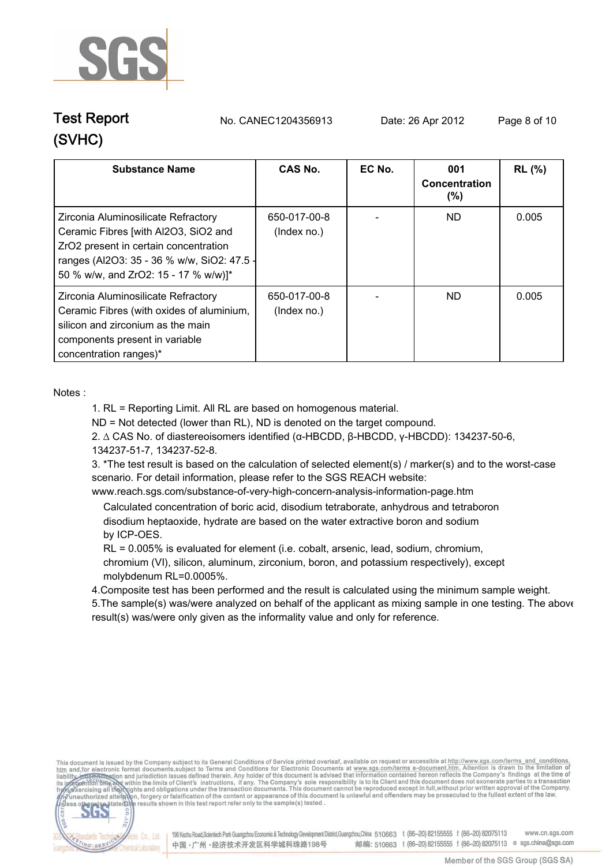

**Test Report. No. CANEC1204356913 Date: 26 Apr 2012. Page 8 of 10.**

| <b>Substance Name</b>                                                                                                                                                                                      | CAS No.                     | EC No. | 001<br>Concentration<br>$(\%)$ | <b>RL</b> (%) |
|------------------------------------------------------------------------------------------------------------------------------------------------------------------------------------------------------------|-----------------------------|--------|--------------------------------|---------------|
| Zirconia Aluminosilicate Refractory<br>Ceramic Fibres [with Al2O3, SiO2 and<br>ZrO2 present in certain concentration<br>ranges (Al2O3: 35 - 36 % w/w, SiO2: 47.5 -<br>50 % w/w, and ZrO2: 15 - 17 % w/w)]* | 650-017-00-8<br>(Index no.) |        | ND.                            | 0.005         |
| Zirconia Aluminosilicate Refractory<br>Ceramic Fibres (with oxides of aluminium,<br>silicon and zirconium as the main<br>components present in variable<br>concentration ranges)*                          | 650-017-00-8<br>(Index no.) |        | ND.                            | 0.005         |

**Notes :.**

**1. RL = Reporting Limit. All RL are based on homogenous material.**

**ND = Not detected (lower than RL), ND is denoted on the target compound.**

**2. ∆ CAS No. of diastereoisomers identified (α-HBCDD, β-HBCDD, γ-HBCDD): 134237-50-6, 134237-51-7, 134237-52-8.**

**3. \*The test result is based on the calculation of selected element(s) / marker(s) and to the worst-case scenario. For detail information, please refer to the SGS REACH website:** 

**www.reach.sgs.com/substance-of-very-high-concern-analysis-information-page.htm.**

 **Calculated concentration of boric acid, disodium tetraborate, anhydrous and tetraboron disodium heptaoxide, hydrate are based on the water extractive boron and sodium**  by ICP-OES.

 **RL = 0.005% is evaluated for element (i.e. cobalt, arsenic, lead, sodium, chromium, chromium (VI), silicon, aluminum, zirconium, boron, and potassium respectively), except molybdenum RL=0.0005%.**

**4.Composite test has been performed and the result is calculated using the minimum sample weight.** 

**5.The sample(s) was/were analyzed on behalf of the applicant as mixing sample in one testing. The above result(s) was/were only given as the informality value and only for reference..**

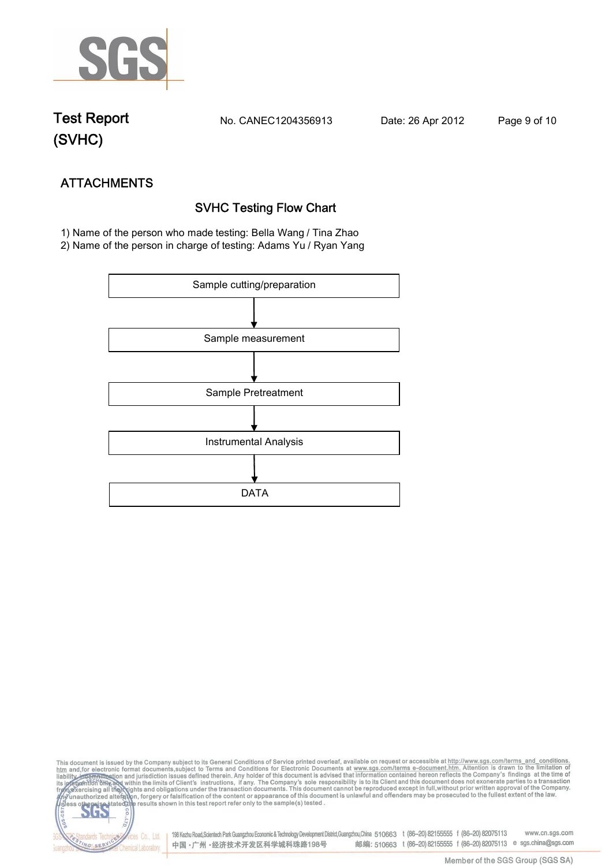

**Test Report. No. CANEC1204356913 Date: 26 Apr 2012. Page 9 of 10.**

NG SER

**Chemical Laboratory** 

**ATTACHMENTS SVHC Testing Flow Chart 1)** Name of the person who made testing: **Bella Wang / Tina Zhao**

**2)** Name of the person in charge of testing: **Adams Yu / Ryan Yang**



This document is issued by the Company subject to its General Conditions of Service printed overleaf, available on request or accessible at http://www.sgs.com/terms\_and\_conditions.<br>htm\_and,for electronic format documents,s S **202** 198 Kezhu Road,Scientech Park Guangzhou Economic & Technology Development District,Guangzhou,China 510663 t (86-20) 82155555 f (86-20) 82075113 www.cn.sgs.com dards Ter fices Co., Ltd.

中国·广州·经济技术开发区科学城科珠路198号

Member of the SGS Group (SGS SA)

邮编: 510663 t (86-20) 82155555 f (86-20) 82075113 e sgs.china@sgs.com